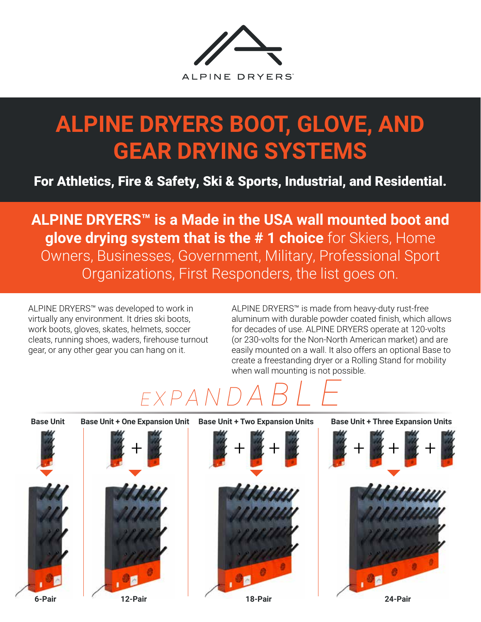

## **ALPINE DRYERS BOOT, GLOVE, AND GEAR DRYING SYSTEMS**

For Athletics, Fire & Safety, Ski & Sports, Industrial, and Residential.

**ALPINE DRYERS™ is a Made in the USA wall mounted boot and glove drying system that is the # 1 choice** for Skiers, Home Owners, Businesses, Government, Military, Professional Sport Organizations, First Responders, the list goes on.

ALPINE DRYERS™ was developed to work in virtually any environment. It dries ski boots, work boots, gloves, skates, helmets, soccer cleats, running shoes, waders, firehouse turnout gear, or any other gear you can hang on it.

ALPINE DRYERS™ is made from heavy-duty rust-free aluminum with durable powder coated finish, which allows for decades of use. ALPINE DRYERS operate at 120-volts (or 230-volts for the Non-North American market) and are easily mounted on a wall. It also offers an optional Base to create a freestanding dryer or a Rolling Stand for mobility when wall mounting is not possible.

# *<sup>E</sup> <sup>X</sup> <sup>P</sup> <sup>A</sup> <sup>N</sup> D A B L E*

**Base Unit**





**Base Unit + One Expansion Unit Base Unit + Two Expansion Units Base Unit + Three Expansion Units**



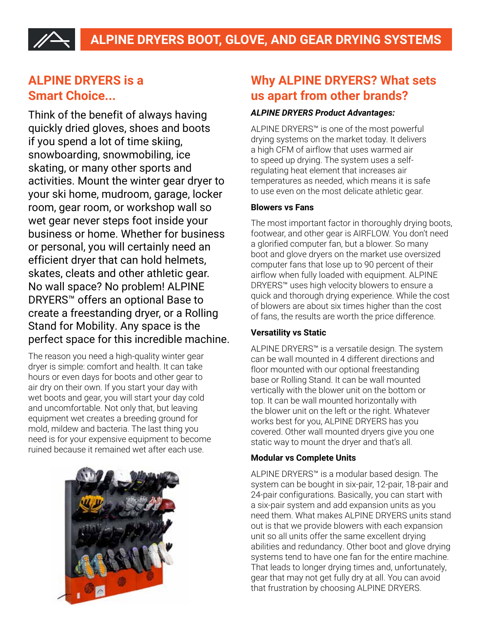### **ALPINE DRYERS is a Smart Choice...**

Think of the benefit of always having quickly dried gloves, shoes and boots if you spend a lot of time skiing, snowboarding, snowmobiling, ice skating, or many other sports and activities. Mount the winter gear dryer to your ski home, mudroom, garage, locker room, gear room, or workshop wall so wet gear never steps foot inside your business or home. Whether for business or personal, you will certainly need an efficient dryer that can hold helmets, skates, cleats and other athletic gear. No wall space? No problem! ALPINE DRYERS™ offers an optional Base to create a freestanding dryer, or a Rolling Stand for Mobility. Any space is the perfect space for this incredible machine.

The reason you need a high-quality winter gear dryer is simple: comfort and health. It can take hours or even days for boots and other gear to air dry on their own. If you start your day with wet boots and gear, you will start your day cold and uncomfortable. Not only that, but leaving equipment wet creates a breeding ground for mold, mildew and bacteria. The last thing you need is for your expensive equipment to become ruined because it remained wet after each use.



### **Why ALPINE DRYERS? What sets us apart from other brands?**

### *ALPINE DRYERS Product Advantages:*

ALPINE DRYERS™ is one of the most powerful drying systems on the market today. It delivers a high CFM of airflow that uses warmed air to speed up drying. The system uses a selfregulating heat element that increases air temperatures as needed, which means it is safe to use even on the most delicate athletic gear.

### **Blowers vs Fans**

The most important factor in thoroughly drying boots, footwear, and other gear is AIRFLOW. You don't need a glorified computer fan, but a blower. So many boot and glove dryers on the market use oversized computer fans that lose up to 90 percent of their airflow when fully loaded with equipment. ALPINE DRYERS™ uses high velocity blowers to ensure a quick and thorough drying experience. While the cost of blowers are about six times higher than the cost of fans, the results are worth the price difference.

### **Versatility vs Static**

ALPINE DRYERS™ is a versatile design. The system can be wall mounted in 4 different directions and floor mounted with our optional freestanding base or Rolling Stand. It can be wall mounted vertically with the blower unit on the bottom or top. It can be wall mounted horizontally with the blower unit on the left or the right. Whatever works best for you, ALPINE DRYERS has you covered. Other wall mounted dryers give you one static way to mount the dryer and that's all.

### **Modular vs Complete Units**

ALPINE DRYERS™ is a modular based design. The system can be bought in six-pair, 12-pair, 18-pair and 24-pair configurations. Basically, you can start with a six-pair system and add expansion units as you need them. What makes ALPINE DRYERS units stand out is that we provide blowers with each expansion unit so all units offer the same excellent drying abilities and redundancy. Other boot and glove drying systems tend to have one fan for the entire machine. That leads to longer drying times and, unfortunately, gear that may not get fully dry at all. You can avoid that frustration by choosing ALPINE DRYERS.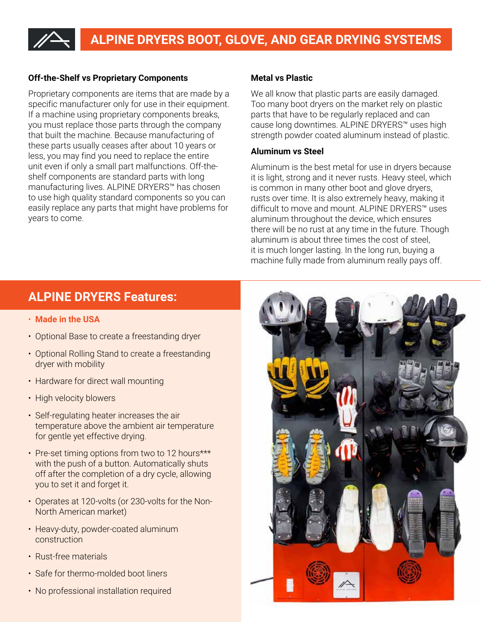## **ALPINE DRYERS BOOT, GLOVE, AND GEAR DRYING SYSTEMS**

#### **Off-the-Shelf vs Proprietary Components**

Proprietary components are items that are made by a specific manufacturer only for use in their equipment. If a machine using proprietary components breaks, you must replace those parts through the company that built the machine. Because manufacturing of these parts usually ceases after about 10 years or less, you may find you need to replace the entire unit even if only a small part malfunctions. Off-theshelf components are standard parts with long manufacturing lives. ALPINE DRYERS™ has chosen to use high quality standard components so you can easily replace any parts that might have problems for years to come.

#### **Metal vs Plastic**

We all know that plastic parts are easily damaged. Too many boot dryers on the market rely on plastic parts that have to be regularly replaced and can cause long downtimes. ALPINE DRYERS™ uses high strength powder coated aluminum instead of plastic.

#### **Aluminum vs Steel**

Aluminum is the best metal for use in dryers because it is light, strong and it never rusts. Heavy steel, which is common in many other boot and glove dryers, rusts over time. It is also extremely heavy, making it difficult to move and mount. ALPINE DRYERS™ uses aluminum throughout the device, which ensures there will be no rust at any time in the future. Though aluminum is about three times the cost of steel, it is much longer lasting. In the long run, buying a machine fully made from aluminum really pays off.

### **ALPINE DRYERS Features:**

- **Made in the USA**
- Optional Base to create a freestanding dryer
- Optional Rolling Stand to create a freestanding dryer with mobility
- Hardware for direct wall mounting
- High velocity blowers
- Self-regulating heater increases the air temperature above the ambient air temperature for gentle yet effective drying.
- Pre-set timing options from two to 12 hours\*\*\* with the push of a button. Automatically shuts off after the completion of a dry cycle, allowing you to set it and forget it.
- Operates at 120-volts (or 230-volts for the Non-North American market)
- Heavy-duty, powder-coated aluminum construction
- Rust-free materials
- Safe for thermo-molded boot liners
- No professional installation required